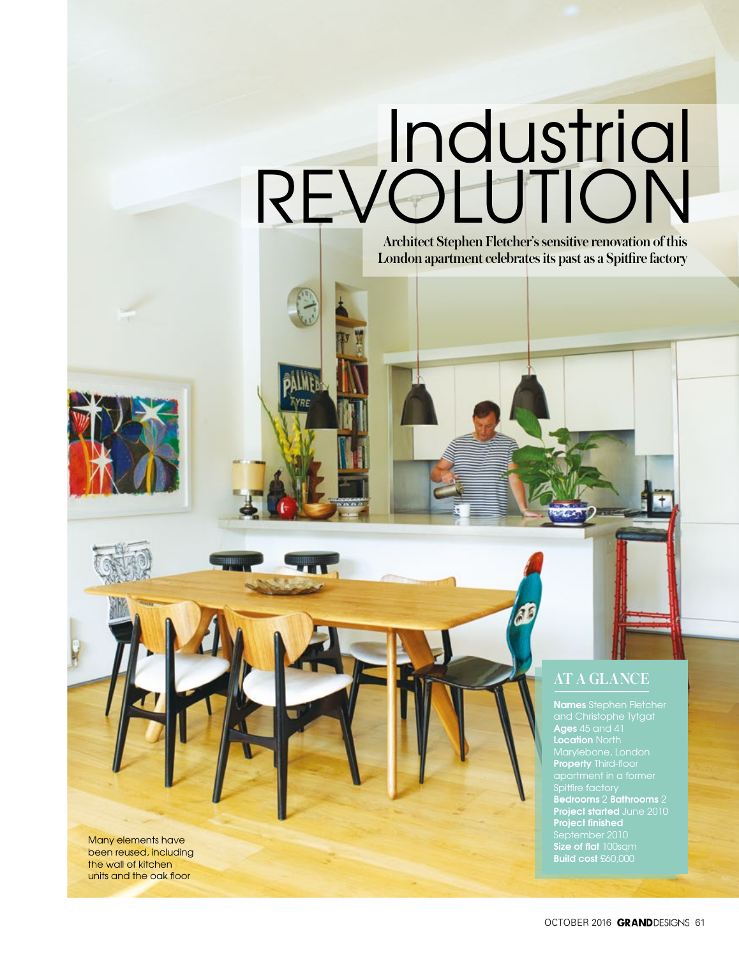# Industrial REVOLUTION

*Architect Stephen Fletcher's sensitive renovation of this London apartment celebrates its past as a Spitfire factory* 

*AT A GLANCE*

**Names** Stephen Fletcher **Ages** 45 and 41 **Location** North Marylebone, London **Property** Third-floor Spitfire factory **Bedrooms** 2 **Bathrooms** 2 **Project started** June 2010 **Project finished Size of flat** 100sqm **Build cost** £60,000

Many elements have been reused, including the wall of kitchen units and the oak floor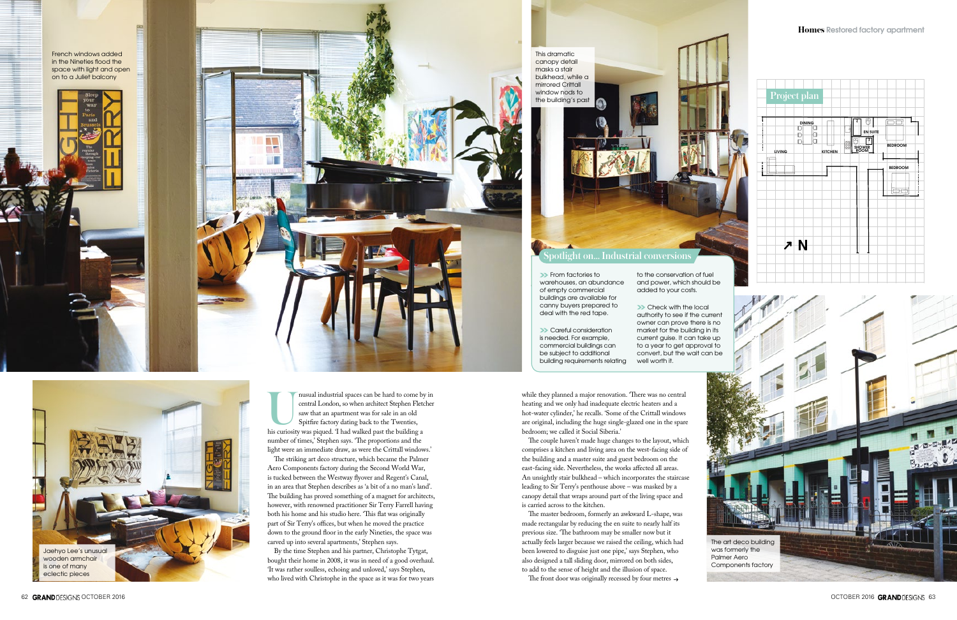#### *Homes* **Restored factory apartment** *Homes* **Restored factory apartment**

French windows added in the Nineties flood the space with light and open on to a Juliet balcony



This dramatic canopy detail masks a stair bulkhead, while a mirrored Crittall window nods to



**ULICE IS and industrial spaces can be hard to come by in** central London, so when architect Stephen Fletcher saw that an apartment was for sale in an old Spitfire factory dating back to the Twenties, his curiosity was piq central London, so when architect Stephen Fletcher saw that an apartment was for sale in an old Spitfire factory dating back to the Twenties, number of times,' Stephen says. 'The proportions and the light were an immediate draw, as were the Crittall windows.'

The striking art deco structure, which became the Palmer Aero Components factory during the Second World War, is tucked between the Westway flyover and Regent's Canal, in an area that Stephen describes as 'a bit of a no man's land'. The building has proved something of a magnet for architects, however, with renowned practitioner Sir Terry Farrell having both his home and his studio here. 'This flat was originally part of Sir Terry's offices, but when he moved the practice down to the ground floor in the early Nineties, the space was carved up into several apartments,' Stephen says.

By the time Stephen and his partner, Christophe Tytgat, bought their home in 2008, it was in need of a good overhaul. 'It was rather soulless, echoing and unloved,' says Stephen, who lived with Christophe in the space as it was for two years **Example 25 From factories to** warehouses, an abundance of empty commercial buildings are available for canny buyers prepared to deal with the red tape.

**>>** Careful consideration is needed. For example, commercial buildings can be subject to additional building requirements relating

while they planned a major renovation. 'There was no central heating and we only had inadequate electric heaters and a hot-water cylinder,' he recalls. 'Some of the Crittall windows are original, including the huge single-glazed one in the spare bedroom; we called it Social Siberia.'

**>>** Check with the local authority to see if the current owner can prove there is no market for the building in its current guise. It can take up to a year to get approval to convert, but the wait can be well worth it.

The couple haven't made huge changes to the layout, which comprises a kitchen and living area on the west-facing side of the building and a master suite and guest bedroom on the east-facing side. Nevertheless, the works affected all areas. An unsightly stair bulkhead – which incorporates the staircase leading to Sir Terry's penthouse above – was masked by a canopy detail that wraps around part of the living space and is carried across to the kitchen.

The master bedroom, formerly an awkward L-shape, was made rectangular by reducing the en suite to nearly half its previous size. 'The bathroom may be smaller now but it actually feels larger because we raised the ceiling, which had been lowered to disguise just one pipe,' says Stephen, who also designed a tall sliding door, mirrored on both sides, to add to the sense of height and the illusion of space.

The front door was originally recessed by four metres  $\rightarrow$ 







*Spotlight on… Industrial conversions*

to the conservation of fuel and power, which should be added to your costs.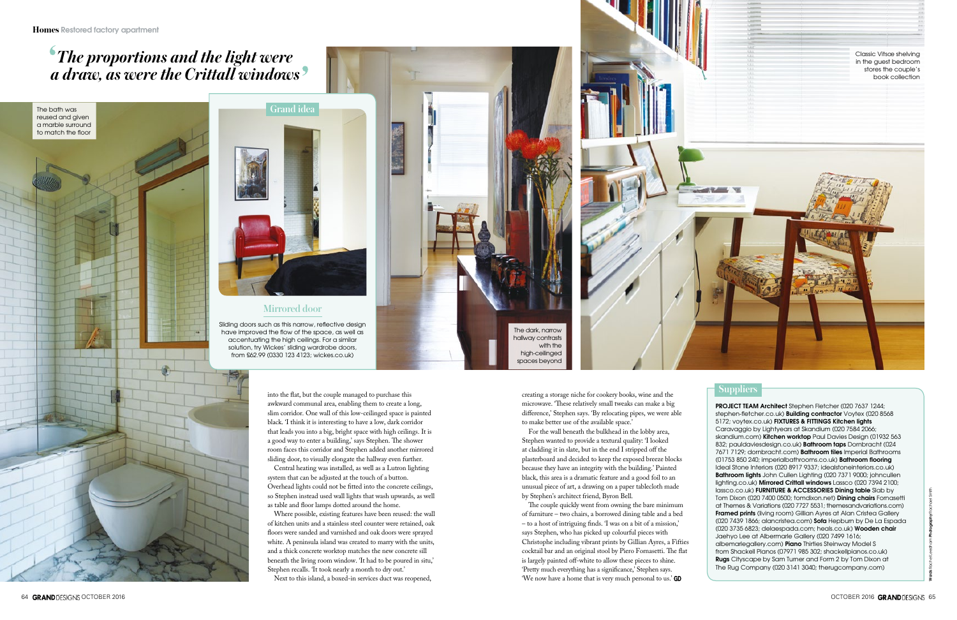#### *Mirrored door*

Sliding doors such as this narrow, reflective design have improved the flow of the space, as well as accentuating the high ceilings. For a similar solution, try Wickes' sliding wardrobe doors, from £62.99 (0330 123 4123; wickes.co.uk)



**Words** Debbie Jeffery **Photography** Bruce Hemming The bath was reused and given a marble surround to match the floor

**PROJECT TEAM Architect** Stephen Fletcher (020 7637 1244; stephen-fletcher.co.uk) **Building contractor** Voytex (020 8568 5172; voytex.co.uk) **FIXTURES & FITTINGS Kitchen lights**  Caravaggio by Lightyears at Skandium (020 7584 2066; skandium.com) **Kitchen worktop** Paul Davies Design (01932 563 832; pauldaviesdesign.co.uk) **Bathroom taps** Dornbracht (024 7671 7129; dornbracht.com) **Bathroom tiles** Imperial Bathrooms (01753 850 240; imperialbathrooms.co.uk) **Bathroom flooring** Ideal Stone Interiors (020 8917 9337; idealstoneinteriors.co.uk) **Bathroom lights** John Cullen Lighting (020 7371 9000; johncullen lighting.co.uk) **Mirrored Crittall windows** Lassco (020 7394 2100; lassco.co.uk) **FURNITURE & ACCESSORIES Dining table** Slab by Tom Dixon (020 7400 0500; tomdixon.net) **Dining chairs** Fornasetti at Themes & Variations (020 7727 5531; themesandvariations.com) **Framed prints** (living room) Gillian Ayres at Alan Cristea Gallery (020 7439 1866; alancristea.com) **Sofa** Hepburn by De La Espada (020 3735 6823; delaespada.com; heals.co.uk) **Wooden chair** Jaehyo Lee at Albermarle Gallery (020 7499 1616; albemarlegallery.com) **Piano** Thirties Steinway Model S from Shackell Pianos (07971 985 302; shackellpianos.co.uk) **Rugs** Cityscape by Sam Turner and Form 2 by Tom Dixon at The Rug Company (020 3141 3040; therugcompany.com)

#### *Suppliers*





into the flat, but the couple managed to purchase this awkward communal area, enabling them to create a long, slim corridor. One wall of this low-ceilinged space is painted black. 'I think it is interesting to have a low, dark corridor that leads you into a big, bright space with high ceilings. It is a good way to enter a building,' says Stephen. The shower room faces this corridor and Stephen added another mirrored sliding door, to visually elongate the hallway even further.

Central heating was installed, as well as a Lutron lighting system that can be adjusted at the touch of a button. Overhead lights could not be fitted into the concrete ceilings, so Stephen instead used wall lights that wash upwards, as well as table and floor lamps dotted around the home.

Where possible, existing features have been reused: the wall of kitchen units and a stainless steel counter were retained, oak floors were sanded and varnished and oak doors were sprayed white. A peninsula island was created to marry with the units, and a thick concrete worktop matches the new concrete sill beneath the living room window. 'It had to be poured in situ,' Stephen recalls. 'It took nearly a month to dry out.'

Next to this island, a boxed-in services duct was reopened,

creating a storage niche for cookery books, wine and the microwave. 'These relatively small tweaks can make a big difference,' Stephen says. 'By relocating pipes, we were able to make better use of the available space.'

For the wall beneath the bulkhead in the lobby area, Stephen wanted to provide a textural quality: 'I looked at cladding it in slate, but in the end I stripped off the plasterboard and decided to keep the exposed breeze blocks because they have an integrity with the building.' Painted black, this area is a dramatic feature and a good foil to an unusual piece of art, a drawing on a paper tablecloth made by Stephen's architect friend, Byron Bell.

The couple quickly went from owning the bare minimum of furniture – two chairs, a borrowed dining table and a bed – to a host of intriguing finds. 'I was on a bit of a mission,' says Stephen, who has picked up colourful pieces with Christophe including vibrant prints by Gillian Ayres, a Fifties cocktail bar and an original stool by Piero Fornasetti. The flat is largely painted off-white to allow these pieces to shine. 'Pretty much everything has a significance,' Stephen says. 'We now have a home that is very much personal to us.'

## *The proportions and the light were a draw, as were the Crittall windows*